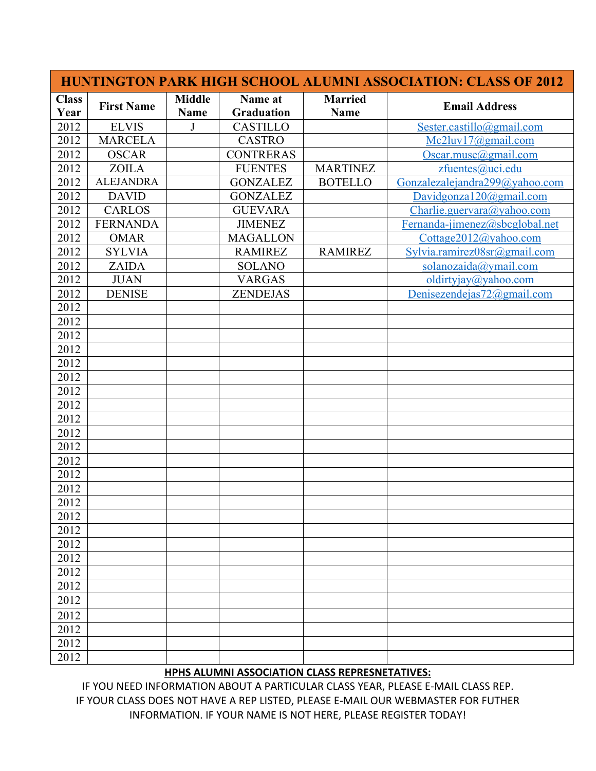|                      |                   |                              |                              | <b>HUNTINGTON PARK HIGH SCHOOL ALUMNI ASSOCIATION: CLASS OF 2012</b> |                                |  |
|----------------------|-------------------|------------------------------|------------------------------|----------------------------------------------------------------------|--------------------------------|--|
| <b>Class</b><br>Year | <b>First Name</b> | <b>Middle</b><br><b>Name</b> | Name at<br><b>Graduation</b> | <b>Married</b><br><b>Name</b>                                        | <b>Email Address</b>           |  |
| 2012                 | <b>ELVIS</b>      | J                            | <b>CASTILLO</b>              |                                                                      | Sester.castillo@gmail.com      |  |
| 2012                 | <b>MARCELA</b>    |                              | <b>CASTRO</b>                |                                                                      | Mc2luv17@gmail.com             |  |
| 2012                 | <b>OSCAR</b>      |                              | <b>CONTRERAS</b>             |                                                                      | Oscar.muse@gmail.com           |  |
| 2012                 | <b>ZOILA</b>      |                              | <b>FUENTES</b>               | <b>MARTINEZ</b>                                                      | zfuentes@uci.edu               |  |
| 2012                 | <b>ALEJANDRA</b>  |                              | <b>GONZALEZ</b>              | <b>BOTELLO</b>                                                       | Gonzalezalejandra299@yahoo.com |  |
| 2012                 | <b>DAVID</b>      |                              | <b>GONZALEZ</b>              |                                                                      | Davidgonza120@gmail.com        |  |
| 2012                 | <b>CARLOS</b>     |                              | <b>GUEVARA</b>               |                                                                      | Charlie.guervara@yahoo.com     |  |
| 2012                 | <b>FERNANDA</b>   |                              | <b>JIMENEZ</b>               |                                                                      | Fernanda-jimenez@sbcglobal.net |  |
| 2012                 | <b>OMAR</b>       |                              | <b>MAGALLON</b>              |                                                                      | Cottage2012@yahoo.com          |  |
| 2012                 | <b>SYLVIA</b>     |                              | <b>RAMIREZ</b>               | <b>RAMIREZ</b>                                                       | Sylvia.ramirez08sr@gmail.com   |  |
| 2012                 | <b>ZAIDA</b>      |                              | <b>SOLANO</b>                |                                                                      | solanozaida@ymail.com          |  |
| 2012                 | <b>JUAN</b>       |                              | <b>VARGAS</b>                |                                                                      | oldirtyjay@yahoo.com           |  |
| 2012                 | <b>DENISE</b>     |                              | <b>ZENDEJAS</b>              |                                                                      | Denisezendejas $72$ @gmail.com |  |
| 2012                 |                   |                              |                              |                                                                      |                                |  |
| 2012                 |                   |                              |                              |                                                                      |                                |  |
| 2012                 |                   |                              |                              |                                                                      |                                |  |
| 2012                 |                   |                              |                              |                                                                      |                                |  |
| 2012                 |                   |                              |                              |                                                                      |                                |  |
| 2012                 |                   |                              |                              |                                                                      |                                |  |
| 2012                 |                   |                              |                              |                                                                      |                                |  |
| 2012                 |                   |                              |                              |                                                                      |                                |  |
| 2012                 |                   |                              |                              |                                                                      |                                |  |
| 2012                 |                   |                              |                              |                                                                      |                                |  |
| 2012                 |                   |                              |                              |                                                                      |                                |  |
| 2012                 |                   |                              |                              |                                                                      |                                |  |
| 2012                 |                   |                              |                              |                                                                      |                                |  |
| 2012                 |                   |                              |                              |                                                                      |                                |  |
| 2012                 |                   |                              |                              |                                                                      |                                |  |
| 2012                 |                   |                              |                              |                                                                      |                                |  |
| 2012                 |                   |                              |                              |                                                                      |                                |  |
| 2012                 |                   |                              |                              |                                                                      |                                |  |
| 2012                 |                   |                              |                              |                                                                      |                                |  |
| 2012                 |                   |                              |                              |                                                                      |                                |  |
| 2012                 |                   |                              |                              |                                                                      |                                |  |
| 2012                 |                   |                              |                              |                                                                      |                                |  |
| 2012                 |                   |                              |                              |                                                                      |                                |  |
| 2012                 |                   |                              |                              |                                                                      |                                |  |
| 2012                 |                   |                              |                              |                                                                      |                                |  |
| 2012                 |                   |                              |                              |                                                                      |                                |  |

## **HPHS ALUMNI ASSOCIATION CLASS REPRESNETATIVES:**

IF YOU NEED INFORMATION ABOUT A PARTICULAR CLASS YEAR, PLEASE E-MAIL CLASS REP. IF YOUR CLASS DOES NOT HAVE A REP LISTED, PLEASE E-MAIL OUR WEBMASTER FOR FUTHER INFORMATION. IF YOUR NAME IS NOT HERE, PLEASE REGISTER TODAY!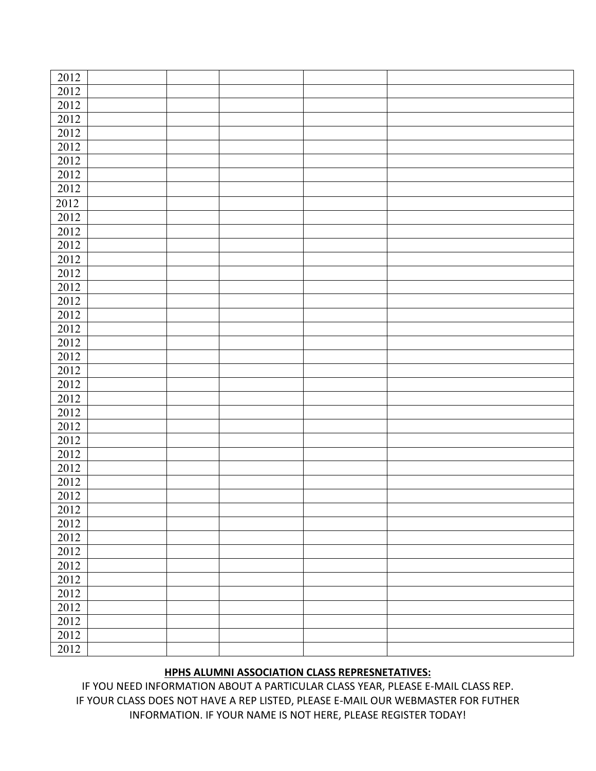| 2012              |  |  |  |
|-------------------|--|--|--|
| 2012              |  |  |  |
| 2012              |  |  |  |
| 2012              |  |  |  |
|                   |  |  |  |
| 2012              |  |  |  |
| 2012              |  |  |  |
| $2012\,$          |  |  |  |
| 2012              |  |  |  |
| 2012              |  |  |  |
| 2012              |  |  |  |
| 2012              |  |  |  |
| 2012              |  |  |  |
| 2012              |  |  |  |
| 2012              |  |  |  |
| 2012              |  |  |  |
| 2012              |  |  |  |
| 2012              |  |  |  |
| 2012              |  |  |  |
| 2012              |  |  |  |
| 2012              |  |  |  |
| $20\overline{12}$ |  |  |  |
| 2012              |  |  |  |
| 2012              |  |  |  |
| 2012              |  |  |  |
| 2012              |  |  |  |
| 2012              |  |  |  |
| 2012              |  |  |  |
| 2012              |  |  |  |
|                   |  |  |  |
| 2012              |  |  |  |
| 2012              |  |  |  |
| 2012              |  |  |  |
| 2012              |  |  |  |
| 2012              |  |  |  |
| 2012              |  |  |  |
| 2012              |  |  |  |
| 2012              |  |  |  |
| 2012              |  |  |  |
| 2012              |  |  |  |
| 2012              |  |  |  |
| 2012              |  |  |  |
| 2012              |  |  |  |
| 2012              |  |  |  |
|                   |  |  |  |

## **HPHS ALUMNI ASSOCIATION CLASS REPRESNETATIVES:**

IF YOU NEED INFORMATION ABOUT A PARTICULAR CLASS YEAR, PLEASE E-MAIL CLASS REP. IF YOUR CLASS DOES NOT HAVE A REP LISTED, PLEASE E-MAIL OUR WEBMASTER FOR FUTHER INFORMATION. IF YOUR NAME IS NOT HERE, PLEASE REGISTER TODAY!